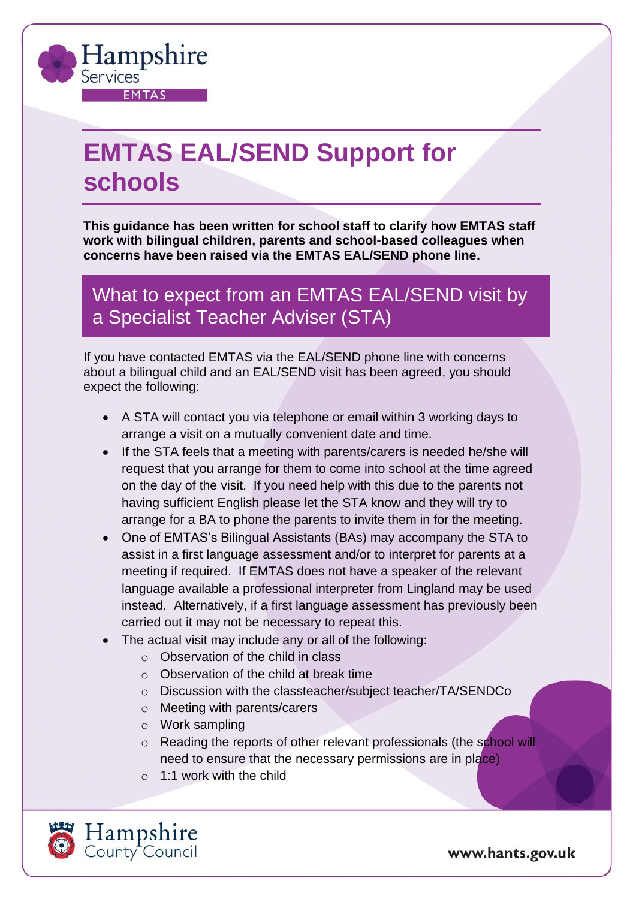

## **EMTAS EAL/SEND Support for schools**

**This guidance has been written for school staff to clarify how EMTAS staff work with bilingual children, parents and school-based colleagues when concerns have been raised via the EMTAS EAL/SEND phone line.**

What to expect from an EMTAS EAL/SEND visit by a Specialist Teacher Adviser (STA)

If you have contacted EMTAS via the EAL/SEND phone line with concerns about a bilingual child and an EAL/SEND visit has been agreed, you should expect the following:

- A STA will contact you via telephone or email within 3 working days to arrange a visit on a mutually convenient date and time.
- If the STA feels that a meeting with parents/carers is needed he/she will request that you arrange for them to come into school at the time agreed on the day of the visit. If you need help with this due to the parents not having sufficient English please let the STA know and they will try to arrange for a BA to phone the parents to invite them in for the meeting.
- One of EMTAS's Bilingual Assistants (BAs) may accompany the STA to assist in a first language assessment and/or to interpret for parents at a meeting if required. If EMTAS does not have a speaker of the relevant language available a professional interpreter from Lingland may be used instead. Alternatively, if a first language assessment has previously been carried out it may not be necessary to repeat this.
- The actual visit may include any or all of the following:
	- o Observation of the child in class
	- o Observation of the child at break time
	- o Discussion with the classteacher/subject teacher/TA/SENDCo
	- o Meeting with parents/carers
	- o Work sampling
	- o Reading the reports of other relevant professionals (the school will need to ensure that the necessary permissions are in place)
	- $\circ$  1:1 work with the child



www.hants.gov.uk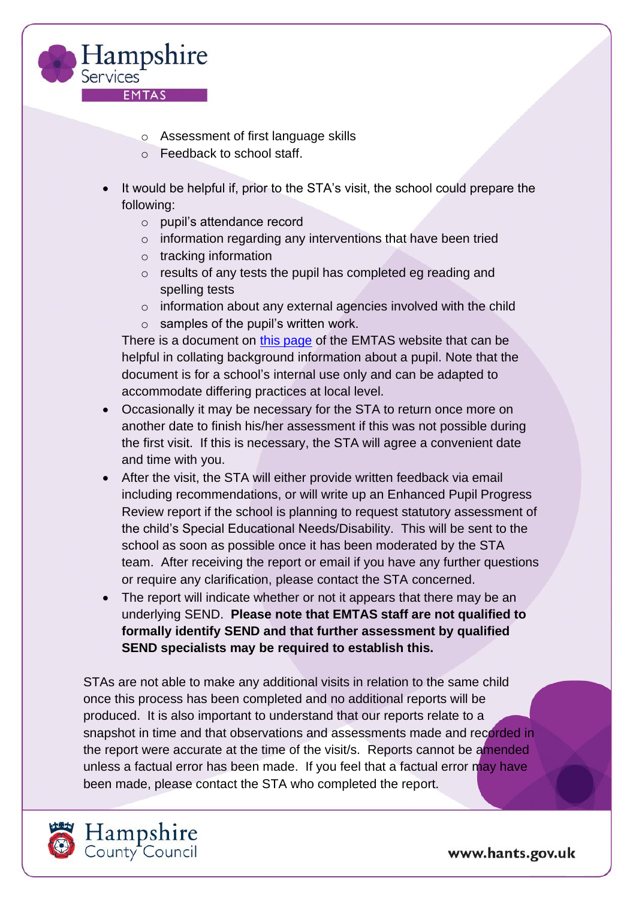

- o Assessment of first language skills
- o Feedback to school staff.
- It would be helpful if, prior to the STA's visit, the school could prepare the following:
	- o pupil's attendance record
	- o information regarding any interventions that have been tried
	- o tracking information
	- o results of any tests the pupil has completed eg reading and spelling tests
	- $\circ$  information about any external agencies involved with the child
	- $\circ$  samples of the pupil's written work.

There is a document on [this page](https://www.hants.gov.uk/educationandlearning/emtas/assessment-and-send/eal-progress) of the EMTAS website that can be helpful in collating background information about a pupil. Note that the document is for a school's internal use only and can be adapted to accommodate differing practices at local level.

- Occasionally it may be necessary for the STA to return once more on another date to finish his/her assessment if this was not possible during the first visit. If this is necessary, the STA will agree a convenient date and time with you.
- After the visit, the STA will either provide written feedback via email including recommendations, or will write up an Enhanced Pupil Progress Review report if the school is planning to request statutory assessment of the child's Special Educational Needs/Disability. This will be sent to the school as soon as possible once it has been moderated by the STA team. After receiving the report or email if you have any further questions or require any clarification, please contact the STA concerned.
- The report will indicate whether or not it appears that there may be an underlying SEND. **Please note that EMTAS staff are not qualified to formally identify SEND and that further assessment by qualified SEND specialists may be required to establish this.**

STAs are not able to make any additional visits in relation to the same child once this process has been completed and no additional reports will be produced. It is also important to understand that our reports relate to a snapshot in time and that observations and assessments made and recorded in the report were accurate at the time of the visit/s. Reports cannot be amended unless a factual error has been made. If you feel that a factual error may have been made, please contact the STA who completed the report.



www.hants.gov.uk